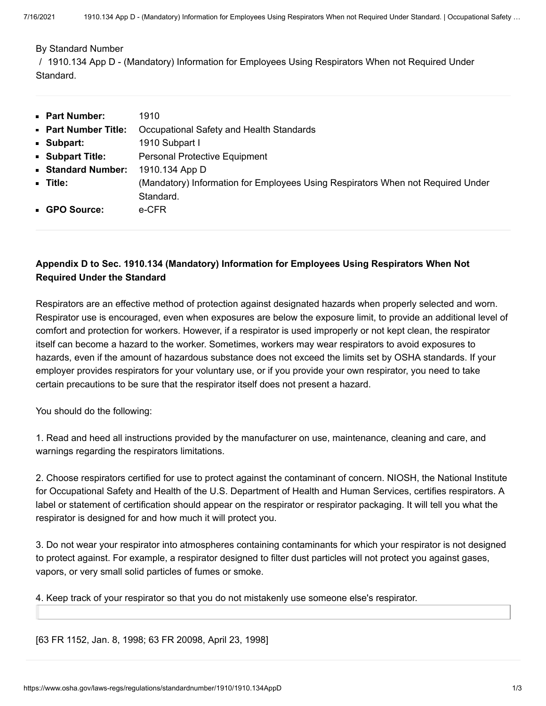#### [By Standard Number](https://www.osha.gov/laws-regs/regulations/standardnumber/1910)

/ 1910.134 App D - (Mandatory) Information for Employees Using Respirators When not Required Under Standard.

| • Part Number:            | 1910                                                                            |
|---------------------------|---------------------------------------------------------------------------------|
| <b>Part Number Title:</b> | Occupational Safety and Health Standards                                        |
| • Subpart:                | 1910 Subpart I                                                                  |
| Subpart Title:            | <b>Personal Protective Equipment</b>                                            |
| Standard Number:          | 1910.134 App D                                                                  |
| - Title:                  | (Mandatory) Information for Employees Using Respirators When not Required Under |
|                           | Standard.                                                                       |
| • GPO Source:             | e-CFR                                                                           |

## **Appendix D to Sec. 1910.134 (Mandatory) Information for Employees Using Respirators When Not Required Under the Standard**

Respirators are an effective method of protection against designated hazards when properly selected and worn. Respirator use is encouraged, even when exposures are below the exposure limit, to provide an additional level of comfort and protection for workers. However, if a respirator is used improperly or not kept clean, the respirator itself can become a hazard to the worker. Sometimes, workers may wear respirators to avoid exposures to hazards, even if the amount of hazardous substance does not exceed the limits set by OSHA standards. If your employer provides respirators for your voluntary use, or if you provide your own respirator, you need to take certain precautions to be sure that the respirator itself does not present a hazard.

You should do the following:

1. Read and heed all instructions provided by the manufacturer on use, maintenance, cleaning and care, and warnings regarding the respirators limitations.

2. Choose respirators certified for use to protect against the contaminant of concern. NIOSH, the National Institute for Occupational Safety and Health of the U.S. Department of Health and Human Services, certifies respirators. A label or statement of certification should appear on the respirator or respirator packaging. It will tell you what the respirator is designed for and how much it will protect you.

3. Do not wear your respirator into atmospheres containing contaminants for which your respirator is not designed to protect against. For example, a respirator designed to filter dust particles will not protect you against gases, vapors, or very small solid particles of fumes or smoke.

4. Keep track of your respirator so that you do not mistakenly use someone else's respirator.

[63 FR 1152, Jan. 8, 1998; 63 FR 20098, April 23, 1998]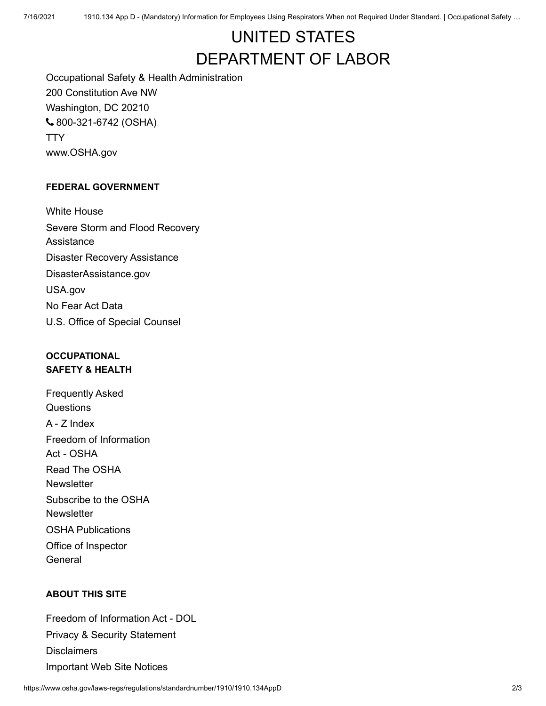# UNITED STATES [DEPARTMENT OF LABOR](https://www.dol.gov/)

Occupational Safety & Health Administration 200 Constitution Ave NW Washington, DC 20210 [800-321-6742](tel:+18003216742) (OSHA) **[TTY](https://www.dol.gov/general/contact-phone-call-center#tty)** [www.OSHA.gov](https://www.osha.gov/)

#### **FEDERAL GOVERNMENT**

[White House](https://www.whitehouse.gov/) [Severe Storm and Flood Recovery](https://www.dol.gov/general/stormrecovery) Assistance [Disaster Recovery Assistance](https://www.dol.gov/general/disasterrecovery) [DisasterAssistance.gov](https://www.disasterassistance.gov/) [USA.gov](https://usa.gov/) [No Fear Act Data](https://www.dol.gov/oasam/programs/crc/NoFearResult.htm) [U.S. Office of Special Counsel](https://osc.gov/)

## **OCCUPATIONAL SAFETY & HEALTH**

[Frequently Asked](https://www.osha.gov/faq) Questions [A - Z Index](https://www.osha.gov/a-z) [Freedom of Information](https://www.osha.gov/foia) Act - OSHA [Read The OSHA](https://www.osha.gov/quicktakes/) **Newsletter** [Subscribe to the OSHA](https://www.osha.gov/quicktakes/#subscribe) **Newsletter** [OSHA Publications](https://www.osha.gov/pls/publications/publication.html) [Office of Inspector](https://www.oig.dol.gov/) General

### **ABOUT THIS SITE**

[Freedom of Information Act - DOL](https://www.dol.gov/general/foia) [Privacy & Security Statement](https://www.dol.gov/general/privacynotice) **[Disclaimers](https://www.dol.gov/general/disclaim)** [Important Web Site Notices](https://www.dol.gov/general/aboutdol/website-policies)